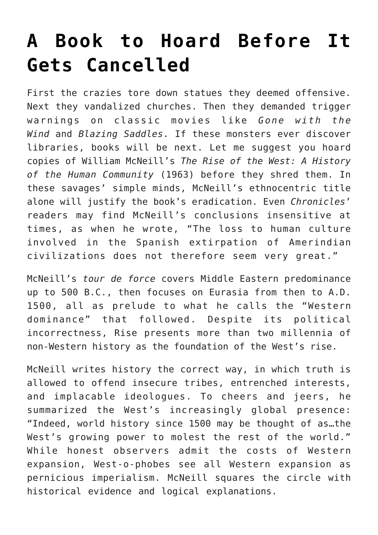## **[A Book to Hoard Before It](https://intellectualtakeout.org/2021/01/a-book-to-hoard-before-it-gets-cancelled/) [Gets Cancelled](https://intellectualtakeout.org/2021/01/a-book-to-hoard-before-it-gets-cancelled/)**

First the crazies tore down statues they deemed offensive. Next they vandalized churches. Then they demanded trigger warnings on classic movies like *Gone with the Wind* and *Blazing Saddles*. If these monsters ever discover libraries, books will be next. Let me suggest you hoard copies of William McNeill's *The Rise of the West: A History of the Human Community* (1963) before they shred them. In these savages' simple minds, McNeill's ethnocentric title alone will justify the book's eradication. Even *Chronicles*' readers may find McNeill's conclusions insensitive at times, as when he wrote, "The loss to human culture involved in the Spanish extirpation of Amerindian civilizations does not therefore seem very great."

McNeill's *tour de force* covers Middle Eastern predominance up to 500 B.C., then focuses on Eurasia from then to A.D. 1500, all as prelude to what he calls the "Western dominance" that followed. Despite its political incorrectness, Rise presents more than two millennia of non-Western history as the foundation of the West's rise.

McNeill writes history the correct way, in which truth is allowed to offend insecure tribes, entrenched interests, and implacable ideologues. To cheers and jeers, he summarized the West's increasingly global presence: "Indeed, world history since 1500 may be thought of as…the West's growing power to molest the rest of the world." While honest observers admit the costs of Western expansion, West-o-phobes see all Western expansion as pernicious imperialism. McNeill squares the circle with historical evidence and logical explanations.